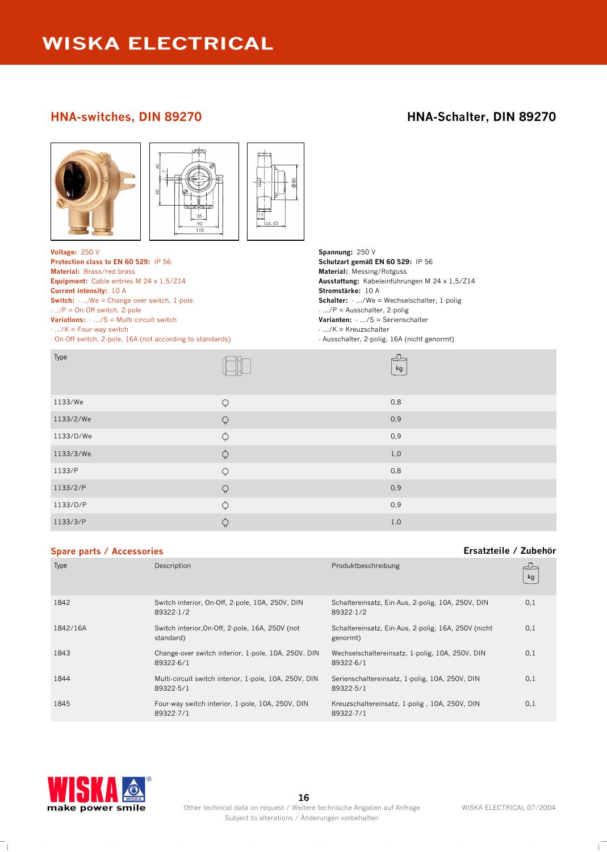### **HNA-switches, DIN 89270 HNA-Schalter, DIN 89270**



### **Spare parts / Accessories Ersatzteile / Zubehör**

| opare parts / Accessories |                                                                    | LISULLUIL / LUDUIL                                              |     |
|---------------------------|--------------------------------------------------------------------|-----------------------------------------------------------------|-----|
| Type                      | Description                                                        | Produktbeschreibung                                             | kg  |
| 1842                      | Switch interior, On-Off, 2-pole, 10A, 250V, DIN<br>89322-1/2       | Schaltereinsatz, Ein-Aus, 2-polig, 10A, 250V, DIN<br>89322-1/2  | 0,1 |
| 1842/16A                  | Switch interior, On-Off, 2-pole, 16A, 250V (not<br>standard)       | Schaltereinsatz, Ein-Aus, 2-polig, 16A, 250V (nicht<br>genormt) | 0,1 |
| 1843                      | Change over switch interior, 1 pole, 10A, 250V, DIN<br>89322-6/1   | Wechselschaltereinsatz, 1-polig, 10A, 250V, DIN<br>89322-6/1    | 0,1 |
| 1844                      | Multi-circuit switch interior, 1-pole, 10A, 250V, DIN<br>89322-5/1 | Serienschaltereinsatz, 1-polig, 10A, 250V, DIN<br>89322-5/1     | 0,1 |
| 1845                      | Four-way switch interior, 1-pole, 10A, 250V, DIN<br>89322-7/1      | Kreuzschaltereinsatz, 1-polig, 10A, 250V, DIN<br>89322-7/1      | 0,1 |



 $^{-}$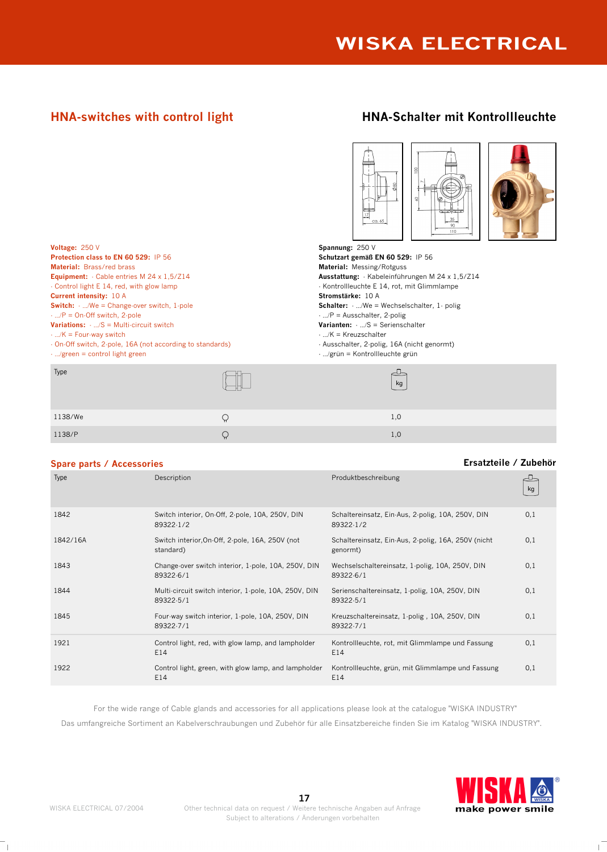# **HNA-switches with control light HNA-Schalter mit Kontrollleuchte**

| Voltage: 250 V<br><b>Protection class to EN 60 529: IP 56</b><br><b>Material: Brass/red brass</b><br><b>Equipment:</b> $\cdot$ Cable entries M 24 x 1,5/Z14<br>- Control light E 14, red, with glow lamp<br><b>Current intensity: 10 A</b><br><b>Switch:</b> $\cdot$ /We = Change-over switch, 1-pole<br>$\cdot$ /P = On-Off switch, 2-pole | عضامضة<br>35<br>ca. 65<br>90<br>110<br>Spannung: $250V$<br>Schutzart gemäß EN 60 529: IP 56<br><b>Material:</b> Messing/Rotguss<br>Ausstattung: Kabeleinführungen M 24 x 1,5/Z14<br>- Kontrollleuchte E 14, rot, mit Glimmlampe<br>Stromstärke: 10 A<br><b>Schalter:</b> $\ldots$ We = Wechselschalter, 1 polig<br>$\cdot$ /P = Ausschalter, 2-polig |
|---------------------------------------------------------------------------------------------------------------------------------------------------------------------------------------------------------------------------------------------------------------------------------------------------------------------------------------------|------------------------------------------------------------------------------------------------------------------------------------------------------------------------------------------------------------------------------------------------------------------------------------------------------------------------------------------------------|
| <b>Variations:</b> $\cdot$ /S = Multi-circuit switch<br>$\cdot$ /K = Four-way switch<br>On-Off switch, 2-pole, 16A (not according to standards)<br>$\cdot$ /green = control light green                                                                                                                                                     | <b>Varianten:</b> $\cdot$ /S = Serienschalter<br>$\cdot$ /K = Kreuzschalter<br>- Ausschalter, 2-polig, 16A (nicht genormt)<br>$\cdot$ /grün = Kontrollleuchte grün                                                                                                                                                                                   |
| Type                                                                                                                                                                                                                                                                                                                                        | kg                                                                                                                                                                                                                                                                                                                                                   |

1138/We  $\bigcirc$ 1138/P  $\bigcirc$ 

|  |  | <b>Spare parts / Accessories</b> |
|--|--|----------------------------------|

| Type     | Description                                                        | Produktbeschreibung                                             | kg  |
|----------|--------------------------------------------------------------------|-----------------------------------------------------------------|-----|
| 1842     | Switch interior, On-Off, 2-pole, 10A, 250V, DIN<br>89322-1/2       | Schaltereinsatz, Ein-Aus, 2-polig, 10A, 250V, DIN<br>89322-1/2  | 0,1 |
| 1842/16A | Switch interior, On-Off, 2-pole, 16A, 250V (not<br>standard)       | Schaltereinsatz, Ein-Aus, 2-polig, 16A, 250V (nicht<br>genormt) | 0,1 |
| 1843     | Change-over switch interior, 1-pole, 10A, 250V, DIN<br>89322-6/1   | Wechselschaltereinsatz, 1-polig, 10A, 250V, DIN<br>89322-6/1    | 0,1 |
| 1844     | Multi-circuit switch interior, 1-pole, 10A, 250V, DIN<br>89322-5/1 | Serienschaltereinsatz, 1-polig, 10A, 250V, DIN<br>89322-5/1     | 0,1 |
| 1845     | Four-way switch interior, 1-pole, 10A, 250V, DIN<br>89322-7/1      | Kreuzschaltereinsatz, 1-polig, 10A, 250V, DIN<br>89322-7/1      | 0,1 |
| 1921     | Control light, red, with glow lamp, and lampholder<br>E14          | Kontrollleuchte, rot, mit Glimmlampe und Fassung<br>E14         | 0,1 |
| 1922     | Control light, green, with glow lamp, and lampholder<br>E14        | Kontrollleuchte, grün, mit Glimmlampe und Fassung<br>E14        | 0,1 |

For the wide range of Cable glands and accessories for all applications please look at the catalogue "WISKA INDUSTRY" Das umfangreiche Sortiment an Kabelverschraubungen und Zubehör für alle Einsatzbereiche finden Sie im Katalog "WISKA INDUSTRY".



**Spare parts / Accessories Ersatzteile / Zubehör**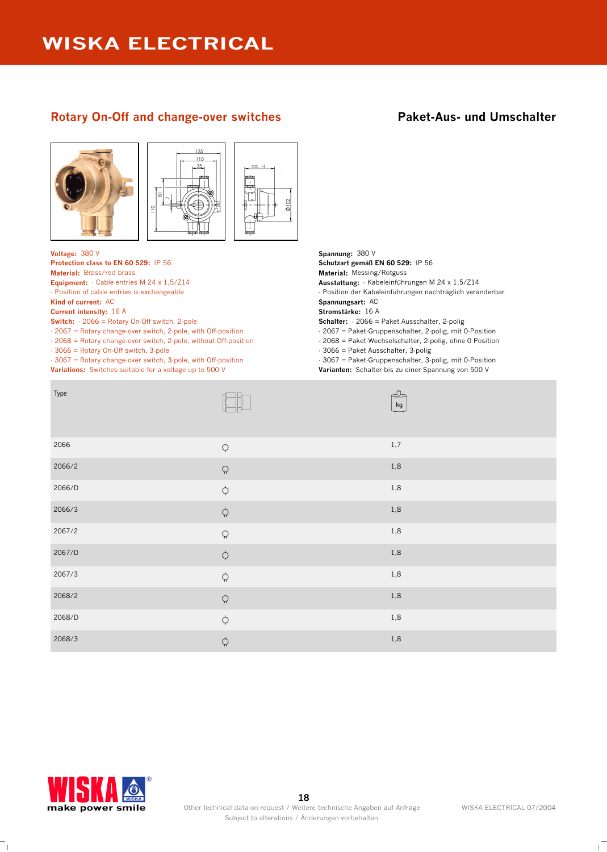## **Rotary On-Off and change-over switches <b>Paket-Aus- und Umschalter**





**Voltage:** 380 V **Spannung:** 380 V **Equipment:** - Cable entries M 24 x 1,5/Z14

- Position of cable entries is exchangeable

**Current intensity:** 16 A **Stromstärke:** 16 A

**Switch:** - 2066 = Rotary On-Off switch, 2-pole

- 2067 = Rotary change-over switch, 2-pole, with Off-position

- 2068 = Rotary change-over switch, 2-pole, without Off-position

- 3066 = Rotary On-Off switch, 3-pole

- 3067 = Rotary change-over switch, 3-pole, with Off-position **Variations:** Switches suitable for a voltage up to 500 V **Varianten:** Schalter bis zu einer Spannung von 500 V

ca. H

**Protection class to EN 60 529:** IP 56 **Schutzart gemäß EN 60 529:** IP 56 **Material:** Brass/red brass **in Fig. 2018 Material:** Messing/Rotguss **Material: Messing/Rotguss Ausstattung:** - Kabeleinführungen M 24 x 1,5/Z14 - Position der Kabeleinführungen nachträglich veränderbar **Kind of current:** AC **Spannungsart:** AC **Schalter:** - 2066 = Paket Ausschalter, 2-polig - 2067 = Paket-Gruppenschalter, 2-polig, mit 0-Position - 2068 = Paket-Wechselschalter, 2-polig, ohne 0 Position

- 3066 = Paket Ausschalter, 3-polig

- 3067 = Paket-Gruppenschalter, 3-polig, mit 0-Position

| Type   |                                                                                                                                                                                                                                                                                                                                                                                                                       | ᅩ<br>kg |
|--------|-----------------------------------------------------------------------------------------------------------------------------------------------------------------------------------------------------------------------------------------------------------------------------------------------------------------------------------------------------------------------------------------------------------------------|---------|
| 2066   | $\hbox{\large $\circ$}$                                                                                                                                                                                                                                                                                                                                                                                               | $1,\!7$ |
| 2066/2 | $\hbox{$\bigcirc$}$                                                                                                                                                                                                                                                                                                                                                                                                   | $1,8$   |
| 2066/D | $\boldsymbol{\varphi}$                                                                                                                                                                                                                                                                                                                                                                                                | $1,8$   |
| 2066/3 | $\boldsymbol{\zeta}$                                                                                                                                                                                                                                                                                                                                                                                                  | $1,8$   |
| 2067/2 | $\hbox{$\bigcirc$}$                                                                                                                                                                                                                                                                                                                                                                                                   | $1,8$   |
| 2067/D | $\boldsymbol{\varphi}$                                                                                                                                                                                                                                                                                                                                                                                                | $1,8$   |
| 2067/3 | $\hskip 1pt \hskip 1pt \hskip 1pt \hskip 1pt \hskip 1pt \hskip 1pt \hskip 1pt \hskip 1pt \hskip 1pt \hskip 1pt \hskip 1pt \hskip 1pt \hskip 1pt \hskip 1pt \hskip 1pt \hskip 1pt \hskip 1pt \hskip 1pt \hskip 1pt \hskip 1pt \hskip 1pt \hskip 1pt \hskip 1pt \hskip 1pt \hskip 1pt \hskip 1pt \hskip 1pt \hskip 1pt \hskip 1pt \hskip 1pt \hskip 1pt \hskip 1pt \hskip 1pt \hskip 1pt \hskip 1pt \hskip 1pt \hskip $ | $1,8$   |
| 2068/2 | $\hbox{$\bigcirc$}$                                                                                                                                                                                                                                                                                                                                                                                                   | $1,8$   |
| 2068/D | $\boldsymbol{\varphi}$                                                                                                                                                                                                                                                                                                                                                                                                | $1,8$   |
| 2068/3 | $\boldsymbol{\zeta}$                                                                                                                                                                                                                                                                                                                                                                                                  | $1,8$   |

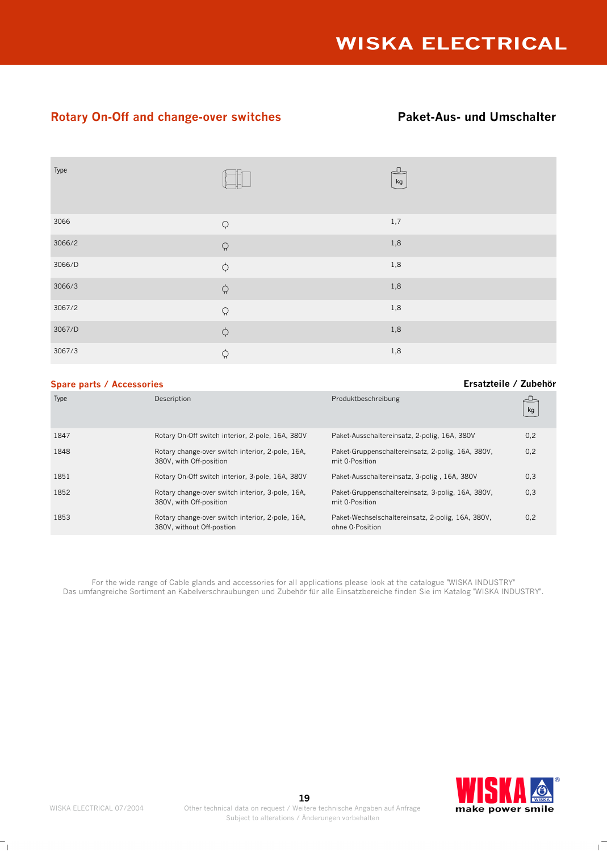## **Rotary On-Off and change-over switches <b>Paket-Aus- und Umschalter**

| Type   |                     | kg    |
|--------|---------------------|-------|
| 3066   | $\varphi$           | 1,7   |
| 3066/2 | $\Omega$            | $1,8$ |
| 3066/D | $\varphi$           | $1,8$ |
| 3066/3 | $\varphi$           | $1,8$ |
| 3067/2 | $\hbox{$\bigcirc$}$ | $1,8$ |
| 3067/D | $\varphi$           | 1,8   |
| 3067/3 | $\varphi$           | $1,8$ |

### **Spare parts / Accessories Ersatzteile / Zubehör**

#### Description Produktbeschreibung 1847 Rotary On-Off switch interior, 2-pole, 16A, 380V Paket-Ausschaltereinsatz, 2-polig, 16A, 380V 0,2 1848 Rotary change-over switch interior, 2-pole, 16A, 380V, with Off-position Paket-Gruppenschaltereinsatz, 2-polig, 16A, 380V, mit 0-Position 0,2 1851 Rotary On-Off switch interior, 3-pole, 16A, 380V Paket-Ausschaltereinsatz, 3-polig , 16A, 380V 0,3 1852 Rotary change-over switch interior, 3-pole, 16A, 380V, with Off-position Paket-Gruppenschaltereinsatz, 3-polig, 16A, 380V, mit 0-Position 0,3 1853 Rotary change-over switch interior, 2-pole, 16A, 380V, without Off-postion Paket-Wechselschaltereinsatz, 2-polig, 16A, 380V, ohne 0-Position 0,2

For the wide range of Cable glands and accessories for all applications please look at the catalogue "WISKA INDUSTRY" Das umfangreiche Sortiment an Kabelverschraubungen und Zubehör für alle Einsatzbereiche finden Sie im Katalog "WISKA INDUSTRY".